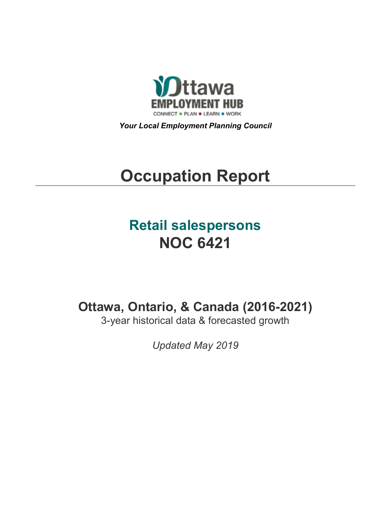

*Your Local Employment Planning Council*

# **Occupation Report**

# **Retail salespersons NOC 6421**

**Ottawa, Ontario, & Canada (2016-2021)**

3-year historical data & forecasted growth

*Updated May 2019*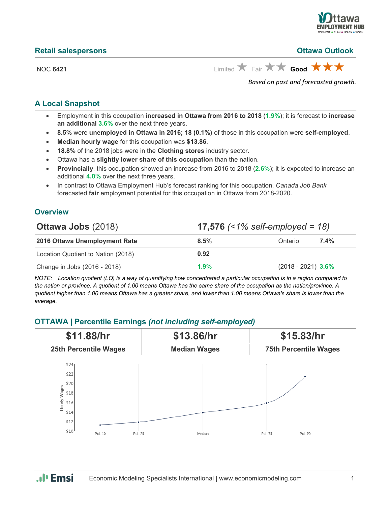

|  | <b>Retail salespersons</b> |
|--|----------------------------|
|  |                            |

**Retail salespersons Ottawa Outlook**

NOC **6421** Limited  $\overrightarrow{A}$  Fair  $\overrightarrow{A}$  **Good** 

*Based on past and forecasted growth.*

#### **A Local Snapshot**

- Employment in this occupation **increased in Ottawa from 2016 to 2018** (**1.9%**); it is forecast to **increase an additional 3.6%** over the next three years.
- **8.5%** were **unemployed in Ottawa in 2016; 18 (0.1%)** of those in this occupation were **self-employed**.
- **Median hourly wage** for this occupation was **\$13.86**.
- **18.8%** of the 2018 jobs were in the **Clothing stores** industry sector.
- Ottawa has a **slightly lower share of this occupation** than the nation.
- **Provincially**, this occupation showed an increase from 2016 to 2018 (**2.6%**); it is expected to increase an additional **4.0%** over the next three years.
- In contrast to Ottawa Employment Hub's forecast ranking for this occupation, *Canada Job Bank*  forecasted **fair** employment potential for this occupation in Ottawa from 2018-2020.

#### **Overview**

| <b>Ottawa Jobs (2018)</b>          |      | <b>17,576</b> $($    |         |  |  |
|------------------------------------|------|----------------------|---------|--|--|
| 2016 Ottawa Unemployment Rate      | 8.5% | Ontario              | $7.4\%$ |  |  |
| Location Quotient to Nation (2018) | 0.92 |                      |         |  |  |
| Change in Jobs (2016 - 2018)       | 1.9% | $(2018 - 2021)$ 3.6% |         |  |  |

*NOTE: Location quotient (LQ) is a way of quantifying how concentrated a particular occupation is in a region compared to the nation or province. A quotient of 1.00 means Ottawa has the same share of the occupation as the nation/province. A quotient higher than 1.00 means Ottawa has a greater share, and lower than 1.00 means Ottawa's share is lower than the average.*

### **OTTAWA | Percentile Earnings** *(not including self-employed)*



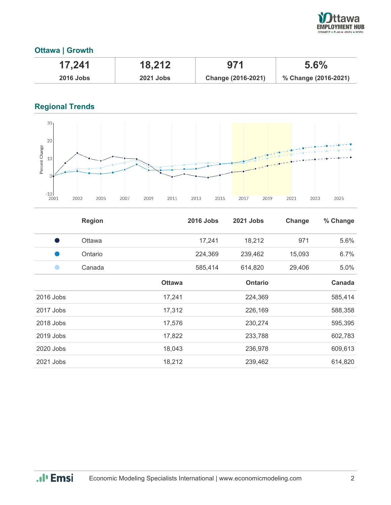

# **Ottawa | Growth**

| 17,241      | 18,212           | 971                | 5.6%                 |
|-------------|------------------|--------------------|----------------------|
| $2016$ Jobs | <b>2021 Jobs</b> | Change (2016-2021) | % Change (2016-2021) |

# **Regional Trends**



|           | <b>Region</b> |               | <b>2016 Jobs</b> | 2021 Jobs      | Change | % Change |
|-----------|---------------|---------------|------------------|----------------|--------|----------|
|           | <b>Ottawa</b> |               | 17,241           | 18,212         | 971    | 5.6%     |
|           | Ontario       |               | 224,369          | 239,462        | 15,093 | 6.7%     |
|           | Canada        |               | 585,414          | 614,820        | 29,406 | 5.0%     |
|           |               | <b>Ottawa</b> |                  | <b>Ontario</b> |        | Canada   |
| 2016 Jobs |               | 17,241        |                  | 224,369        |        | 585,414  |
| 2017 Jobs |               | 17,312        |                  | 226,169        |        | 588,358  |
| 2018 Jobs |               | 17,576        |                  | 230,274        |        | 595,395  |
| 2019 Jobs |               | 17,822        |                  | 233,788        |        | 602,783  |
| 2020 Jobs |               | 18,043        |                  | 236,978        |        | 609,613  |
| 2021 Jobs |               | 18,212        |                  | 239,462        |        | 614,820  |

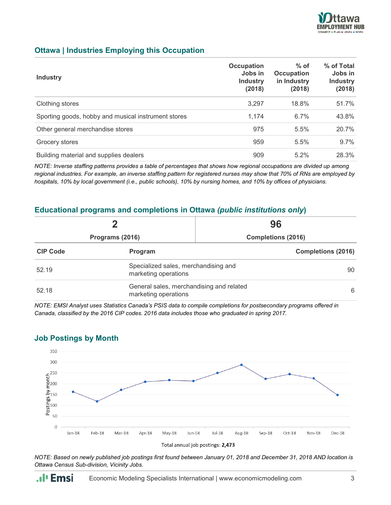

#### **Ottawa | Industries Employing this Occupation**

| <b>Industry</b>                                     | <b>Occupation</b><br>Jobs in<br><b>Industry</b><br>(2018) | $%$ of<br><b>Occupation</b><br>in Industry<br>(2018) | % of Total<br>Jobs in<br><b>Industry</b><br>(2018) |
|-----------------------------------------------------|-----------------------------------------------------------|------------------------------------------------------|----------------------------------------------------|
| Clothing stores                                     | 3,297                                                     | 18.8%                                                | 51.7%                                              |
| Sporting goods, hobby and musical instrument stores | 1.174                                                     | 6.7%                                                 | 43.8%                                              |
| Other general merchandise stores                    | 975                                                       | 5.5%                                                 | 20.7%                                              |
| Grocery stores                                      | 959                                                       | 5.5%                                                 | 9.7%                                               |
| Building material and supplies dealers              | 909                                                       | 5.2%                                                 | 28.3%                                              |

*NOTE: Inverse staffing patterns provides a table of percentages that shows how regional occupations are divided up among regional industries. For example, an inverse staffing pattern for registered nurses may show that 70% of RNs are employed by hospitals, 10% by local government (i.e., public schools), 10% by nursing homes, and 10% by offices of physicians.*

#### **Educational programs and completions in Ottawa** *(public institutions only***)**

| Programs (2016) |                                                                  | 96<br><b>Completions (2016)</b> |  |
|-----------------|------------------------------------------------------------------|---------------------------------|--|
|                 |                                                                  |                                 |  |
| 52.19           | Specialized sales, merchandising and<br>marketing operations     |                                 |  |
| 52.18           | General sales, merchandising and related<br>marketing operations |                                 |  |

*NOTE: EMSI Analyst uses Statistics Canada's PSIS data to compile completions for postsecondary programs offered in Canada, classified by the 2016 CIP codes. 2016 data includes those who graduated in spring 2017.*



#### **Job Postings by Month**

*NOTE: Based on newly published job postings first found between January 01, 2018 and December 31, 2018 AND location is Ottawa Census Sub-division, Vicinity Jobs.*